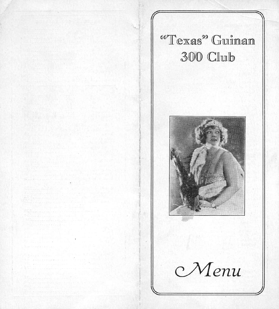<sup>66</sup>Texas<sup>99</sup> Guinan 300 Club



Menu